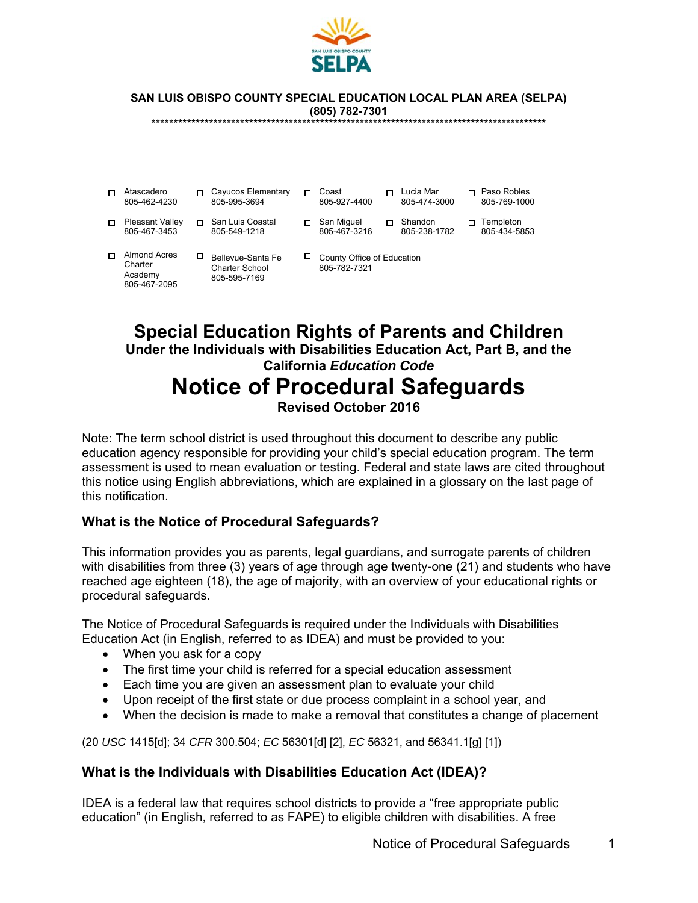

**SAN LUIS OBISPO COUNTY SPECIAL EDUCATION LOCAL PLAN AREA (SELPA) (805) 782-7301** 

\*\*\*\*\*\*\*\*\*\*\*\*\*\*\*\*\*\*\*\*\*\*\*\*\*\*\*\*\*\*\*\*\*\*\*\*\*\*\*\*\*\*\*\*\*\*\*\*\*\*\*\*\*\*\*\*\*\*\*\*\*\*\*\*\*\*\*\*\*\*\*\*\*\*\*\*\*\*\*\*\*\*\*\*\*\*\*\*\*

| Atascadero<br>805-462-4230                                | п | Cayucos Elementary<br>805-995-3694                  |    | Coast<br>805-927-4400                      | Lucia Mar<br>805-474-3000 | Paso Robles<br>805-769-1000 |
|-----------------------------------------------------------|---|-----------------------------------------------------|----|--------------------------------------------|---------------------------|-----------------------------|
| Pleasant Valley<br>805-467-3453                           | п | San Luis Coastal<br>805-549-1218                    | п. | San Miguel<br>805-467-3216                 | Shandon<br>805-238-1782   | Templeton<br>805-434-5853   |
| <b>Almond Acres</b><br>Charter<br>Academy<br>805-467-2095 | □ | Bellevue-Santa Fe<br>Charter School<br>805-595-7169 | ப  | County Office of Education<br>805-782-7321 |                           |                             |

# **Special Education Rights of Parents and Children Under the Individuals with Disabilities Education Act, Part B, and the California** *Education Code* **Notice of Procedural Safeguards Revised October 2016**

Note: The term school district is used throughout this document to describe any public education agency responsible for providing your child's special education program. The term assessment is used to mean evaluation or testing. Federal and state laws are cited throughout this notice using English abbreviations, which are explained in a glossary on the last page of this notification.

## **What is the Notice of Procedural Safeguards?**

This information provides you as parents, legal guardians, and surrogate parents of children with disabilities from three (3) years of age through age twenty-one (21) and students who have reached age eighteen (18), the age of majority, with an overview of your educational rights or procedural safeguards.

The Notice of Procedural Safeguards is required under the Individuals with Disabilities Education Act (in English, referred to as IDEA) and must be provided to you:

- When you ask for a copy
- The first time your child is referred for a special education assessment
- Each time you are given an assessment plan to evaluate your child
- Upon receipt of the first state or due process complaint in a school year, and
- When the decision is made to make a removal that constitutes a change of placement

(20 *USC* 1415[d]; 34 *CFR* 300.504; *EC* 56301[d] [2], *EC* 56321, and 56341.1[g] [1])

#### **What is the Individuals with Disabilities Education Act (IDEA)?**

IDEA is a federal law that requires school districts to provide a "free appropriate public education" (in English, referred to as FAPE) to eligible children with disabilities. A free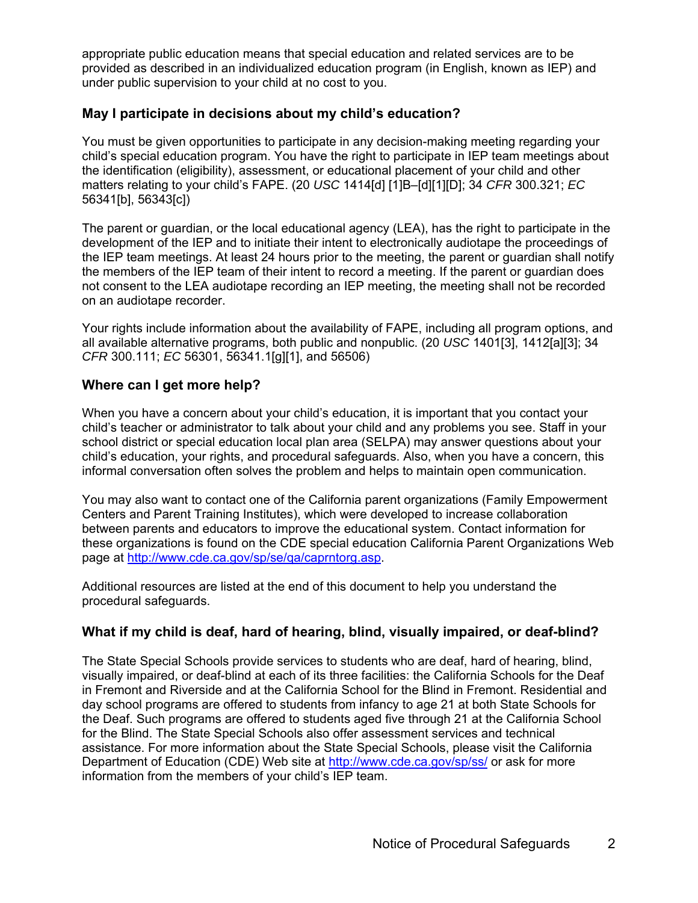appropriate public education means that special education and related services are to be provided as described in an individualized education program (in English, known as IEP) and under public supervision to your child at no cost to you.

#### **May I participate in decisions about my child's education?**

You must be given opportunities to participate in any decision-making meeting regarding your child's special education program. You have the right to participate in IEP team meetings about the identification (eligibility), assessment, or educational placement of your child and other matters relating to your child's FAPE. (20 *USC* 1414[d] [1]B–[d][1][D]; 34 *CFR* 300.321; *EC* 56341[b], 56343[c])

The parent or guardian, or the local educational agency (LEA), has the right to participate in the development of the IEP and to initiate their intent to electronically audiotape the proceedings of the IEP team meetings. At least 24 hours prior to the meeting, the parent or guardian shall notify the members of the IEP team of their intent to record a meeting. If the parent or guardian does not consent to the LEA audiotape recording an IEP meeting, the meeting shall not be recorded on an audiotape recorder.

Your rights include information about the availability of FAPE, including all program options, and all available alternative programs, both public and nonpublic. (20 *USC* 1401[3], 1412[a][3]; 34 *CFR* 300.111; *EC* 56301, 56341.1[g][1], and 56506)

#### **Where can I get more help?**

When you have a concern about your child's education, it is important that you contact your child's teacher or administrator to talk about your child and any problems you see. Staff in your school district or special education local plan area (SELPA) may answer questions about your child's education, your rights, and procedural safeguards. Also, when you have a concern, this informal conversation often solves the problem and helps to maintain open communication.

You may also want to contact one of the California parent organizations (Family Empowerment Centers and Parent Training Institutes), which were developed to increase collaboration between parents and educators to improve the educational system. Contact information for these organizations is found on the CDE special education California Parent Organizations Web page at http://www.cde.ca.gov/sp/se/qa/caprntorg.asp.

Additional resources are listed at the end of this document to help you understand the procedural safeguards.

## **What if my child is deaf, hard of hearing, blind, visually impaired, or deaf-blind?**

The State Special Schools provide services to students who are deaf, hard of hearing, blind, visually impaired, or deaf-blind at each of its three facilities: the California Schools for the Deaf in Fremont and Riverside and at the California School for the Blind in Fremont. Residential and day school programs are offered to students from infancy to age 21 at both State Schools for the Deaf. Such programs are offered to students aged five through 21 at the California School for the Blind. The State Special Schools also offer assessment services and technical assistance. For more information about the State Special Schools, please visit the California Department of Education (CDE) Web site at http://www.cde.ca.gov/sp/ss/ or ask for more information from the members of your child's IEP team.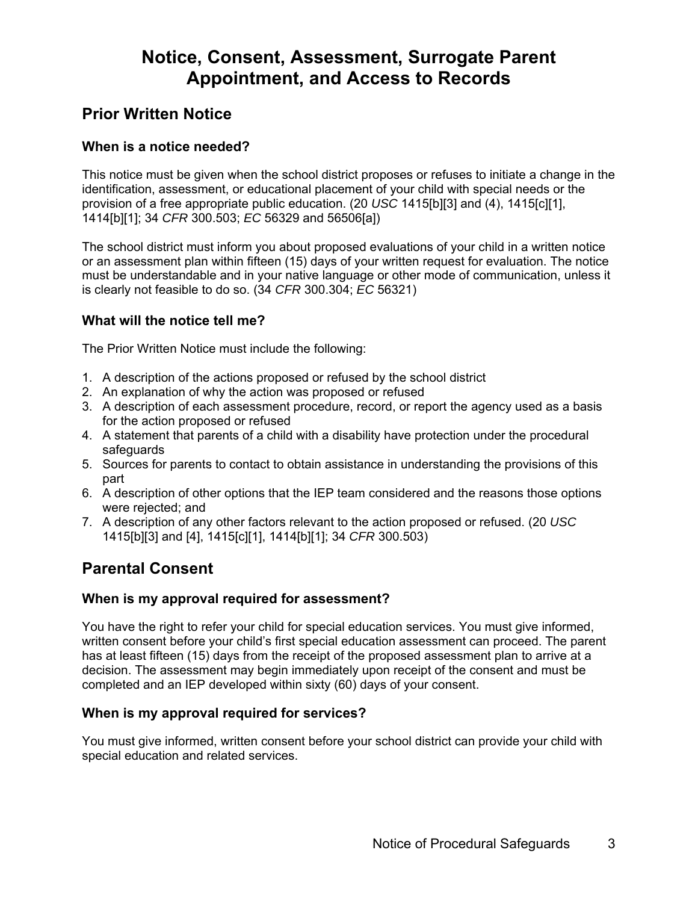# **Notice, Consent, Assessment, Surrogate Parent Appointment, and Access to Records**

# **Prior Written Notice**

# **When is a notice needed?**

This notice must be given when the school district proposes or refuses to initiate a change in the identification, assessment, or educational placement of your child with special needs or the provision of a free appropriate public education. (20 *USC* 1415[b][3] and (4), 1415[c][1], 1414[b][1]; 34 *CFR* 300.503; *EC* 56329 and 56506[a])

The school district must inform you about proposed evaluations of your child in a written notice or an assessment plan within fifteen (15) days of your written request for evaluation. The notice must be understandable and in your native language or other mode of communication, unless it is clearly not feasible to do so. (34 *CFR* 300.304; *EC* 56321)

## **What will the notice tell me?**

The Prior Written Notice must include the following:

- 1. A description of the actions proposed or refused by the school district
- 2. An explanation of why the action was proposed or refused
- 3. A description of each assessment procedure, record, or report the agency used as a basis for the action proposed or refused
- 4. A statement that parents of a child with a disability have protection under the procedural safeguards
- 5. Sources for parents to contact to obtain assistance in understanding the provisions of this part
- 6. A description of other options that the IEP team considered and the reasons those options were rejected; and
- 7. A description of any other factors relevant to the action proposed or refused. (20 *USC* 1415[b][3] and [4], 1415[c][1], 1414[b][1]; 34 *CFR* 300.503)

# **Parental Consent**

## **When is my approval required for assessment?**

You have the right to refer your child for special education services. You must give informed, written consent before your child's first special education assessment can proceed. The parent has at least fifteen (15) days from the receipt of the proposed assessment plan to arrive at a decision. The assessment may begin immediately upon receipt of the consent and must be completed and an IEP developed within sixty (60) days of your consent.

## **When is my approval required for services?**

You must give informed, written consent before your school district can provide your child with special education and related services.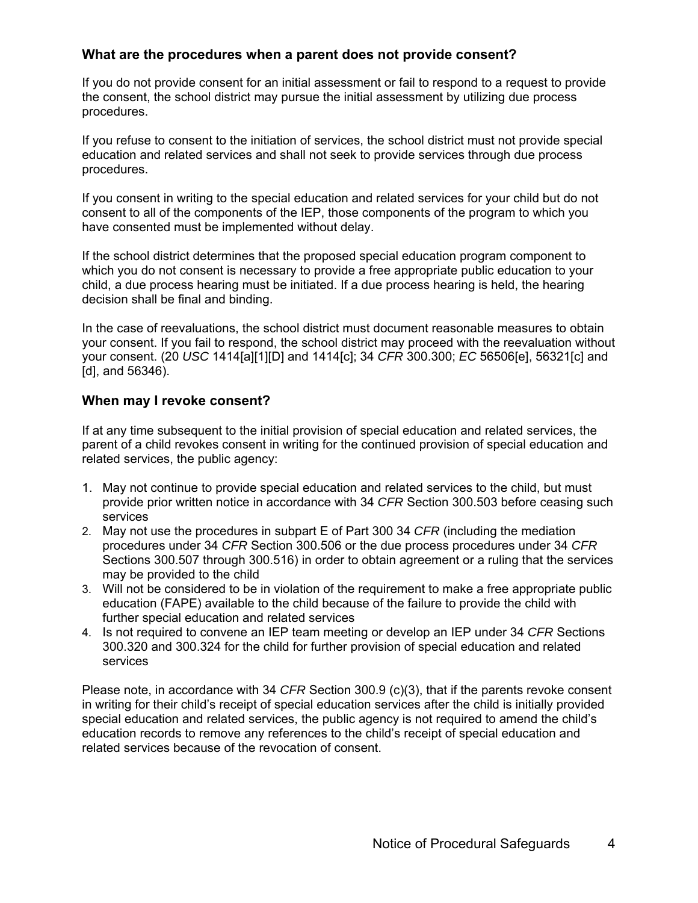## **What are the procedures when a parent does not provide consent?**

If you do not provide consent for an initial assessment or fail to respond to a request to provide the consent, the school district may pursue the initial assessment by utilizing due process procedures.

If you refuse to consent to the initiation of services, the school district must not provide special education and related services and shall not seek to provide services through due process procedures.

If you consent in writing to the special education and related services for your child but do not consent to all of the components of the IEP, those components of the program to which you have consented must be implemented without delay.

If the school district determines that the proposed special education program component to which you do not consent is necessary to provide a free appropriate public education to your child, a due process hearing must be initiated. If a due process hearing is held, the hearing decision shall be final and binding.

In the case of reevaluations, the school district must document reasonable measures to obtain your consent. If you fail to respond, the school district may proceed with the reevaluation without your consent. (20 *USC* 1414[a][1][D] and 1414[c]; 34 *CFR* 300.300; *EC* 56506[e], 56321[c] and [d], and 56346).

## **When may I revoke consent?**

If at any time subsequent to the initial provision of special education and related services, the parent of a child revokes consent in writing for the continued provision of special education and related services, the public agency:

- 1. May not continue to provide special education and related services to the child, but must provide prior written notice in accordance with 34 *CFR* Section 300.503 before ceasing such services
- 2. May not use the procedures in subpart E of Part 300 34 *CFR* (including the mediation procedures under 34 *CFR* Section 300.506 or the due process procedures under 34 *CFR* Sections 300.507 through 300.516) in order to obtain agreement or a ruling that the services may be provided to the child
- 3. Will not be considered to be in violation of the requirement to make a free appropriate public education (FAPE) available to the child because of the failure to provide the child with further special education and related services
- 4. Is not required to convene an IEP team meeting or develop an IEP under 34 *CFR* Sections 300.320 and 300.324 for the child for further provision of special education and related services

Please note, in accordance with 34 *CFR* Section 300.9 (c)(3), that if the parents revoke consent in writing for their child's receipt of special education services after the child is initially provided special education and related services, the public agency is not required to amend the child's education records to remove any references to the child's receipt of special education and related services because of the revocation of consent.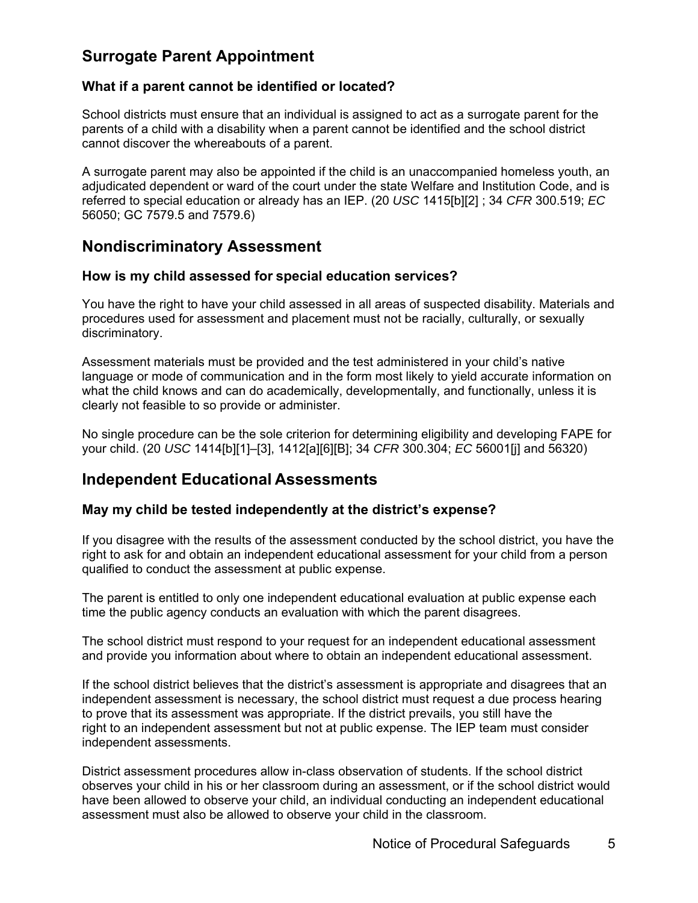# **Surrogate Parent Appointment**

#### **What if a parent cannot be identified or located?**

School districts must ensure that an individual is assigned to act as a surrogate parent for the parents of a child with a disability when a parent cannot be identified and the school district cannot discover the whereabouts of a parent.

A surrogate parent may also be appointed if the child is an unaccompanied homeless youth, an adjudicated dependent or ward of the court under the state Welfare and Institution Code, and is referred to special education or already has an IEP. (20 *USC* 1415[b][2] ; 34 *CFR* 300.519; *EC* 56050; GC 7579.5 and 7579.6)

# **Nondiscriminatory Assessment**

#### **How is my child assessed for special education services?**

You have the right to have your child assessed in all areas of suspected disability. Materials and procedures used for assessment and placement must not be racially, culturally, or sexually discriminatory.

Assessment materials must be provided and the test administered in your child's native language or mode of communication and in the form most likely to yield accurate information on what the child knows and can do academically, developmentally, and functionally, unless it is clearly not feasible to so provide or administer.

No single procedure can be the sole criterion for determining eligibility and developing FAPE for your child. (20 *USC* 1414[b][1]–[3], 1412[a][6][B]; 34 *CFR* 300.304; *EC* 56001[j] and 56320)

# **Independent Educational Assessments**

#### **May my child be tested independently at the district's expense?**

If you disagree with the results of the assessment conducted by the school district, you have the right to ask for and obtain an independent educational assessment for your child from a person qualified to conduct the assessment at public expense.

The parent is entitled to only one independent educational evaluation at public expense each time the public agency conducts an evaluation with which the parent disagrees.

The school district must respond to your request for an independent educational assessment and provide you information about where to obtain an independent educational assessment.

If the school district believes that the district's assessment is appropriate and disagrees that an independent assessment is necessary, the school district must request a due process hearing to prove that its assessment was appropriate. If the district prevails, you still have the right to an independent assessment but not at public expense. The IEP team must consider independent assessments.

District assessment procedures allow in-class observation of students. If the school district observes your child in his or her classroom during an assessment, or if the school district would have been allowed to observe your child, an individual conducting an independent educational assessment must also be allowed to observe your child in the classroom.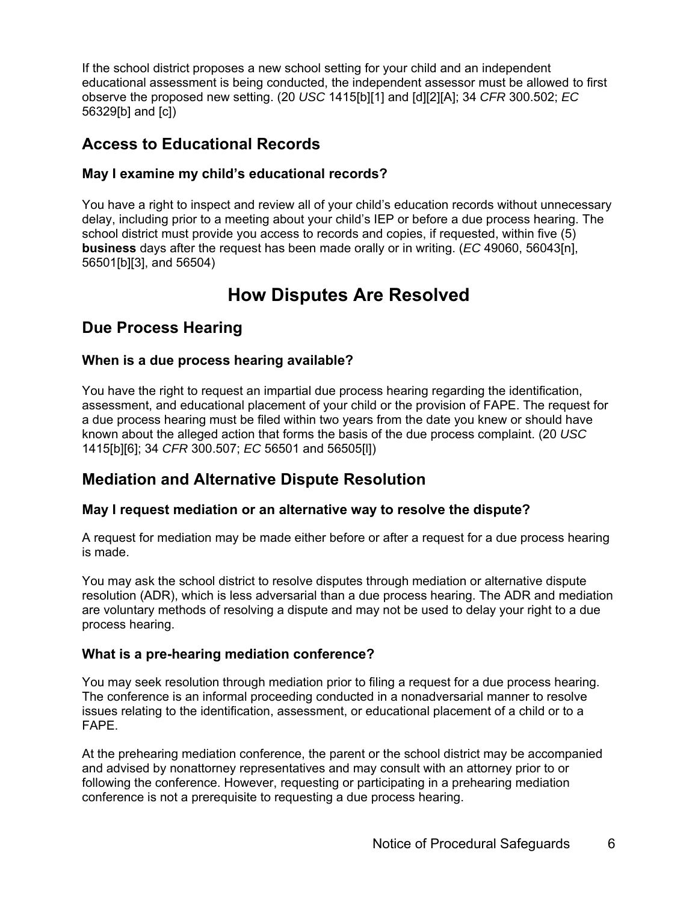If the school district proposes a new school setting for your child and an independent educational assessment is being conducted, the independent assessor must be allowed to first observe the proposed new setting. (20 *USC* 1415[b][1] and [d][2][A]; 34 *CFR* 300.502; *EC* 56329[b] and [c])

# **Access to Educational Records**

# **May I examine my child's educational records?**

You have a right to inspect and review all of your child's education records without unnecessary delay, including prior to a meeting about your child's IEP or before a due process hearing. The school district must provide you access to records and copies, if requested, within five (5) **business** days after the request has been made orally or in writing. (*EC* 49060, 56043[n], 56501[b][3], and 56504)

# **How Disputes Are Resolved**

# **Due Process Hearing**

# **When is a due process hearing available?**

You have the right to request an impartial due process hearing regarding the identification, assessment, and educational placement of your child or the provision of FAPE. The request for a due process hearing must be filed within two years from the date you knew or should have known about the alleged action that forms the basis of the due process complaint. (20 *USC* 1415[b][6]; 34 *CFR* 300.507; *EC* 56501 and 56505[l])

# **Mediation and Alternative Dispute Resolution**

# **May I request mediation or an alternative way to resolve the dispute?**

A request for mediation may be made either before or after a request for a due process hearing is made.

You may ask the school district to resolve disputes through mediation or alternative dispute resolution (ADR), which is less adversarial than a due process hearing. The ADR and mediation are voluntary methods of resolving a dispute and may not be used to delay your right to a due process hearing.

# **What is a pre-hearing mediation conference?**

You may seek resolution through mediation prior to filing a request for a due process hearing. The conference is an informal proceeding conducted in a nonadversarial manner to resolve issues relating to the identification, assessment, or educational placement of a child or to a FAPE.

At the prehearing mediation conference, the parent or the school district may be accompanied and advised by nonattorney representatives and may consult with an attorney prior to or following the conference. However, requesting or participating in a prehearing mediation conference is not a prerequisite to requesting a due process hearing.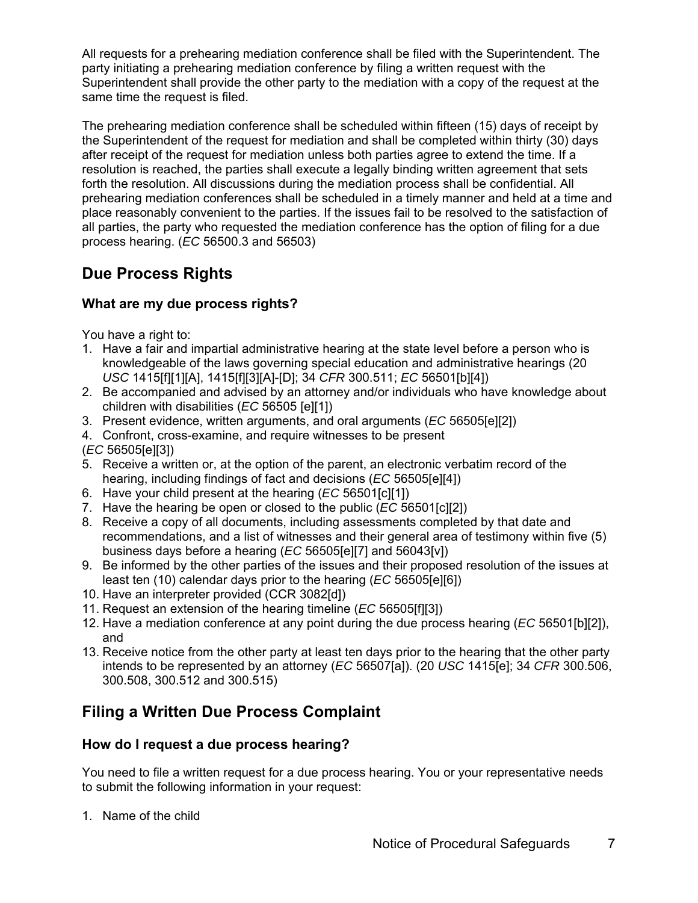All requests for a prehearing mediation conference shall be filed with the Superintendent. The party initiating a prehearing mediation conference by filing a written request with the Superintendent shall provide the other party to the mediation with a copy of the request at the same time the request is filed.

The prehearing mediation conference shall be scheduled within fifteen (15) days of receipt by the Superintendent of the request for mediation and shall be completed within thirty (30) days after receipt of the request for mediation unless both parties agree to extend the time. If a resolution is reached, the parties shall execute a legally binding written agreement that sets forth the resolution. All discussions during the mediation process shall be confidential. All prehearing mediation conferences shall be scheduled in a timely manner and held at a time and place reasonably convenient to the parties. If the issues fail to be resolved to the satisfaction of all parties, the party who requested the mediation conference has the option of filing for a due process hearing. (*EC* 56500.3 and 56503)

# **Due Process Rights**

# **What are my due process rights?**

You have a right to:

- 1. Have a fair and impartial administrative hearing at the state level before a person who is knowledgeable of the laws governing special education and administrative hearings (20 *USC* 1415[f][1][A], 1415[f][3][A]-[D]; 34 *CFR* 300.511; *EC* 56501[b][4])
- 2. Be accompanied and advised by an attorney and/or individuals who have knowledge about children with disabilities (*EC* 56505 [e][1])
- 3. Present evidence, written arguments, and oral arguments (*EC* 56505[e][2])
- 4. Confront, cross-examine, and require witnesses to be present
- (*EC* 56505[e][3])
- 5. Receive a written or, at the option of the parent, an electronic verbatim record of the hearing, including findings of fact and decisions (*EC* 56505[e][4])
- 6. Have your child present at the hearing (*EC* 56501[c][1])
- 7. Have the hearing be open or closed to the public (*EC* 56501[c][2])
- 8. Receive a copy of all documents, including assessments completed by that date and recommendations, and a list of witnesses and their general area of testimony within five (5) business days before a hearing (*EC* 56505[e][7] and 56043[v])
- 9. Be informed by the other parties of the issues and their proposed resolution of the issues at least ten (10) calendar days prior to the hearing (*EC* 56505[e][6])
- 10. Have an interpreter provided (CCR 3082[d])
- 11. Request an extension of the hearing timeline (*EC* 56505[f][3])
- 12. Have a mediation conference at any point during the due process hearing (*EC* 56501[b][2]), and
- 13. Receive notice from the other party at least ten days prior to the hearing that the other party intends to be represented by an attorney (*EC* 56507[a]). (20 *USC* 1415[e]; 34 *CFR* 300.506, 300.508, 300.512 and 300.515)

# **Filing a Written Due Process Complaint**

## **How do I request a due process hearing?**

You need to file a written request for a due process hearing. You or your representative needs to submit the following information in your request:

1. Name of the child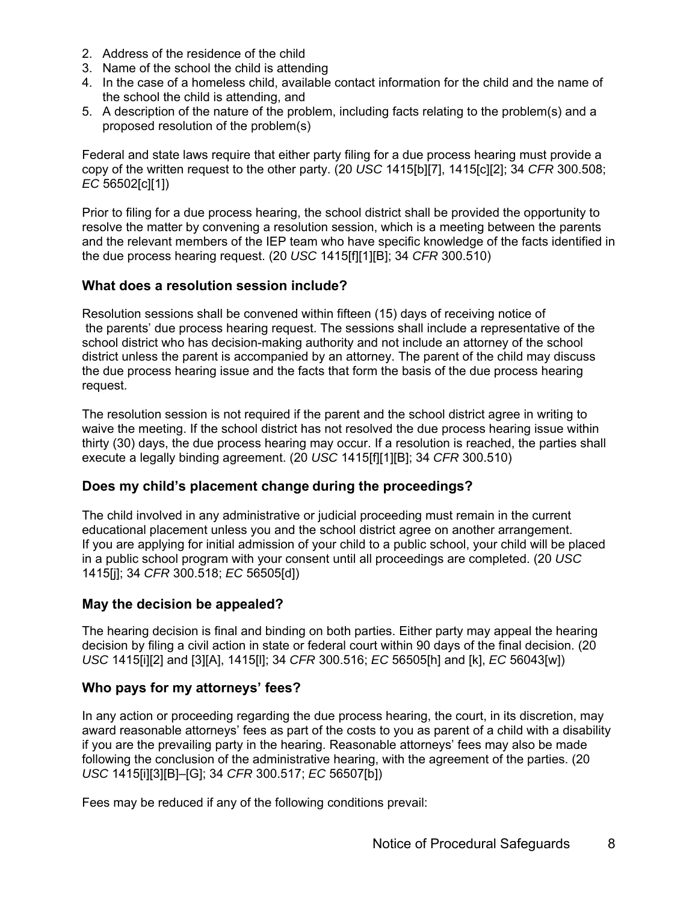- 2. Address of the residence of the child
- 3. Name of the school the child is attending
- 4. In the case of a homeless child, available contact information for the child and the name of the school the child is attending, and
- 5. A description of the nature of the problem, including facts relating to the problem(s) and a proposed resolution of the problem(s)

Federal and state laws require that either party filing for a due process hearing must provide a copy of the written request to the other party. (20 *USC* 1415[b][7], 1415[c][2]; 34 *CFR* 300.508; *EC* 56502[c][1])

Prior to filing for a due process hearing, the school district shall be provided the opportunity to resolve the matter by convening a resolution session, which is a meeting between the parents and the relevant members of the IEP team who have specific knowledge of the facts identified in the due process hearing request. (20 *USC* 1415[f][1][B]; 34 *CFR* 300.510)

## **What does a resolution session include?**

Resolution sessions shall be convened within fifteen (15) days of receiving notice of the parents' due process hearing request. The sessions shall include a representative of the school district who has decision-making authority and not include an attorney of the school district unless the parent is accompanied by an attorney. The parent of the child may discuss the due process hearing issue and the facts that form the basis of the due process hearing request.

The resolution session is not required if the parent and the school district agree in writing to waive the meeting. If the school district has not resolved the due process hearing issue within thirty (30) days, the due process hearing may occur. If a resolution is reached, the parties shall execute a legally binding agreement. (20 *USC* 1415[f][1][B]; 34 *CFR* 300.510)

## **Does my child's placement change during the proceedings?**

The child involved in any administrative or judicial proceeding must remain in the current educational placement unless you and the school district agree on another arrangement. If you are applying for initial admission of your child to a public school, your child will be placed in a public school program with your consent until all proceedings are completed. (20 *USC* 1415[j]; 34 *CFR* 300.518; *EC* 56505[d])

## **May the decision be appealed?**

The hearing decision is final and binding on both parties. Either party may appeal the hearing decision by filing a civil action in state or federal court within 90 days of the final decision. (20 *USC* 1415[i][2] and [3][A], 1415[l]; 34 *CFR* 300.516; *EC* 56505[h] and [k], *EC* 56043[w])

## **Who pays for my attorneys' fees?**

In any action or proceeding regarding the due process hearing, the court, in its discretion, may award reasonable attorneys' fees as part of the costs to you as parent of a child with a disability if you are the prevailing party in the hearing. Reasonable attorneys' fees may also be made following the conclusion of the administrative hearing, with the agreement of the parties. (20 *USC* 1415[i][3][B]–[G]; 34 *CFR* 300.517; *EC* 56507[b])

Fees may be reduced if any of the following conditions prevail: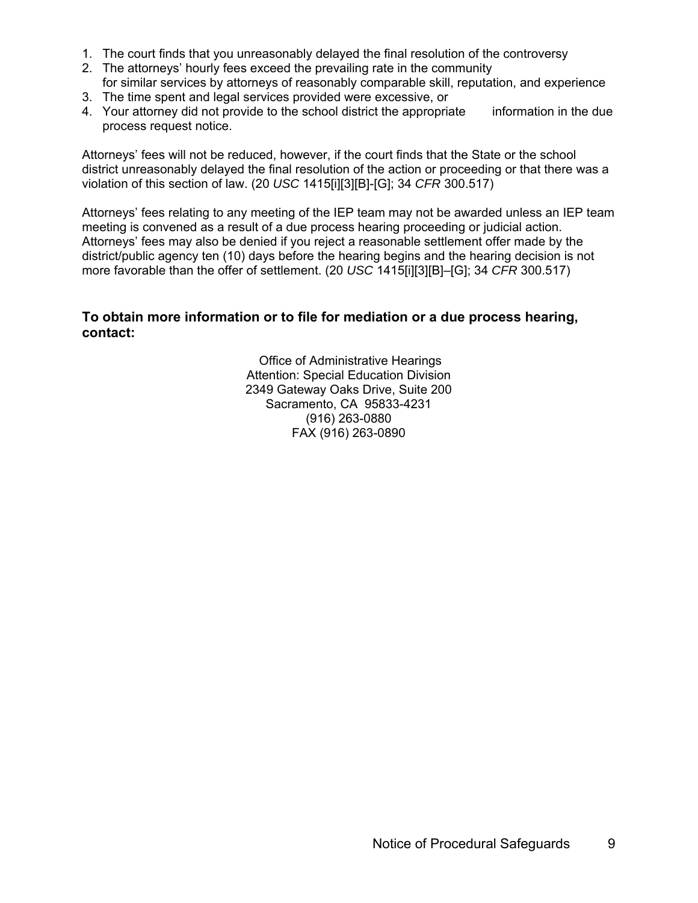- 1. The court finds that you unreasonably delayed the final resolution of the controversy
- 2. The attorneys' hourly fees exceed the prevailing rate in the community
- for similar services by attorneys of reasonably comparable skill, reputation, and experience 3. The time spent and legal services provided were excessive, or
- 4. Your attorney did not provide to the school district the appropriate information in the due process request notice.

Attorneys' fees will not be reduced, however, if the court finds that the State or the school district unreasonably delayed the final resolution of the action or proceeding or that there was a violation of this section of law. (20 *USC* 1415[i][3][B]-[G]; 34 *CFR* 300.517)

Attorneys' fees relating to any meeting of the IEP team may not be awarded unless an IEP team meeting is convened as a result of a due process hearing proceeding or judicial action. Attorneys' fees may also be denied if you reject a reasonable settlement offer made by the district/public agency ten (10) days before the hearing begins and the hearing decision is not more favorable than the offer of settlement. (20 *USC* 1415[i][3][B]–[G]; 34 *CFR* 300.517)

## **To obtain more information or to file for mediation or a due process hearing, contact:**

 Office of Administrative Hearings Attention: Special Education Division 2349 Gateway Oaks Drive, Suite 200 Sacramento, CA 95833-4231 (916) 263-0880 FAX (916) 263-0890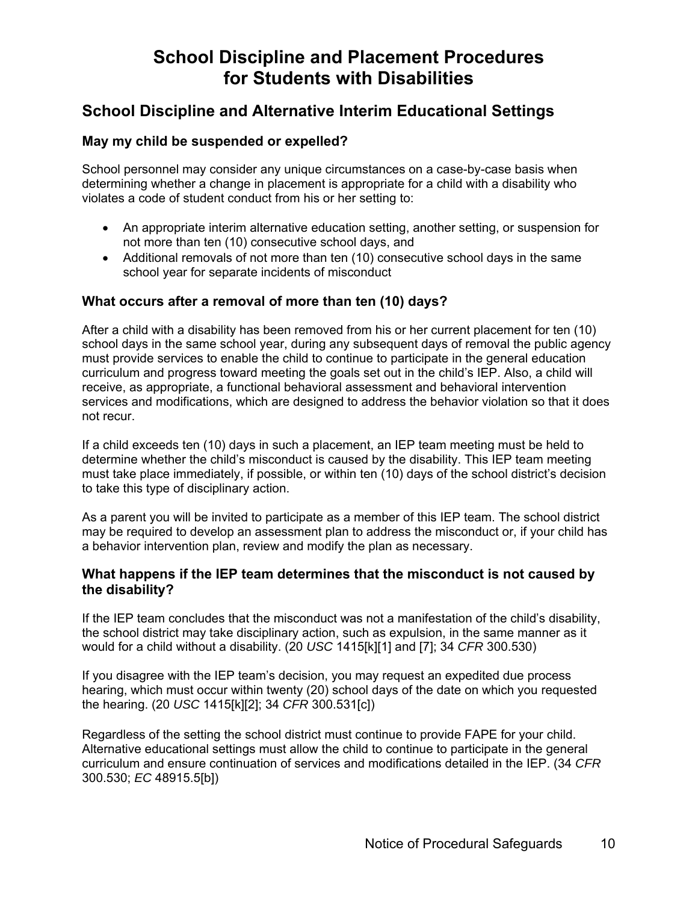# **School Discipline and Placement Procedures for Students with Disabilities**

# **School Discipline and Alternative Interim Educational Settings**

## **May my child be suspended or expelled?**

School personnel may consider any unique circumstances on a case-by-case basis when determining whether a change in placement is appropriate for a child with a disability who violates a code of student conduct from his or her setting to:

- An appropriate interim alternative education setting, another setting, or suspension for not more than ten (10) consecutive school days, and
- Additional removals of not more than ten (10) consecutive school days in the same school year for separate incidents of misconduct

## **What occurs after a removal of more than ten (10) days?**

After a child with a disability has been removed from his or her current placement for ten (10) school days in the same school year, during any subsequent days of removal the public agency must provide services to enable the child to continue to participate in the general education curriculum and progress toward meeting the goals set out in the child's IEP. Also, a child will receive, as appropriate, a functional behavioral assessment and behavioral intervention services and modifications, which are designed to address the behavior violation so that it does not recur.

If a child exceeds ten (10) days in such a placement, an IEP team meeting must be held to determine whether the child's misconduct is caused by the disability. This IEP team meeting must take place immediately, if possible, or within ten (10) days of the school district's decision to take this type of disciplinary action.

As a parent you will be invited to participate as a member of this IEP team. The school district may be required to develop an assessment plan to address the misconduct or, if your child has a behavior intervention plan, review and modify the plan as necessary.

#### **What happens if the IEP team determines that the misconduct is not caused by the disability?**

If the IEP team concludes that the misconduct was not a manifestation of the child's disability, the school district may take disciplinary action, such as expulsion, in the same manner as it would for a child without a disability. (20 *USC* 1415[k][1] and [7]; 34 *CFR* 300.530)

If you disagree with the IEP team's decision, you may request an expedited due process hearing, which must occur within twenty (20) school days of the date on which you requested the hearing. (20 *USC* 1415[k][2]; 34 *CFR* 300.531[c])

Regardless of the setting the school district must continue to provide FAPE for your child. Alternative educational settings must allow the child to continue to participate in the general curriculum and ensure continuation of services and modifications detailed in the IEP. (34 *CFR* 300.530; *EC* 48915.5[b])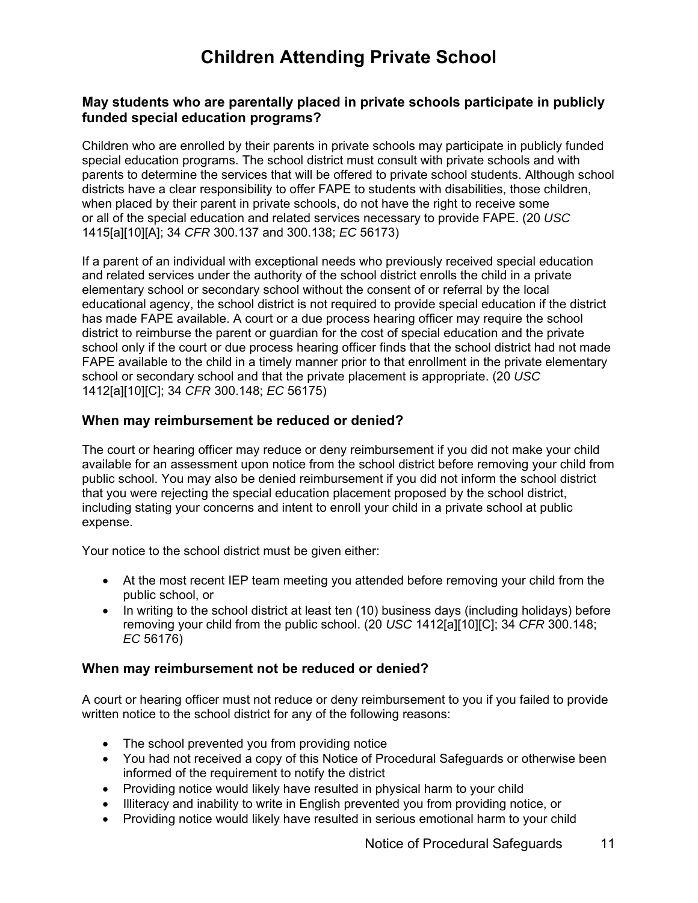# **Children Attending Private School**

## **May students who are parentally placed in private schools participate in publicly funded special education programs?**

Children who are enrolled by their parents in private schools may participate in publicly funded special education programs. The school district must consult with private schools and with parents to determine the services that will be offered to private school students. Although school districts have a clear responsibility to offer FAPE to students with disabilities, those children, when placed by their parent in private schools, do not have the right to receive some or all of the special education and related services necessary to provide FAPE. (20 *USC* 1415[a][10][A]; 34 *CFR* 300.137 and 300.138; *EC* 56173)

If a parent of an individual with exceptional needs who previously received special education and related services under the authority of the school district enrolls the child in a private elementary school or secondary school without the consent of or referral by the local educational agency, the school district is not required to provide special education if the district has made FAPE available. A court or a due process hearing officer may require the school district to reimburse the parent or guardian for the cost of special education and the private school only if the court or due process hearing officer finds that the school district had not made FAPE available to the child in a timely manner prior to that enrollment in the private elementary school or secondary school and that the private placement is appropriate. (20 *USC* 1412[a][10][C]; 34 *CFR* 300.148; *EC* 56175)

## **When may reimbursement be reduced or denied?**

The court or hearing officer may reduce or deny reimbursement if you did not make your child available for an assessment upon notice from the school district before removing your child from public school. You may also be denied reimbursement if you did not inform the school district that you were rejecting the special education placement proposed by the school district, including stating your concerns and intent to enroll your child in a private school at public expense.

Your notice to the school district must be given either:

- At the most recent IEP team meeting you attended before removing your child from the public school, or
- In writing to the school district at least ten (10) business days (including holidays) before removing your child from the public school. (20 *USC* 1412[a][10][C]; 34 *CFR* 300.148; *EC* 56176)

## **When may reimbursement not be reduced or denied?**

A court or hearing officer must not reduce or deny reimbursement to you if you failed to provide written notice to the school district for any of the following reasons:

- The school prevented you from providing notice
- You had not received a copy of this Notice of Procedural Safeguards or otherwise been informed of the requirement to notify the district
- Providing notice would likely have resulted in physical harm to your child
- Illiteracy and inability to write in English prevented you from providing notice, or
- Providing notice would likely have resulted in serious emotional harm to your child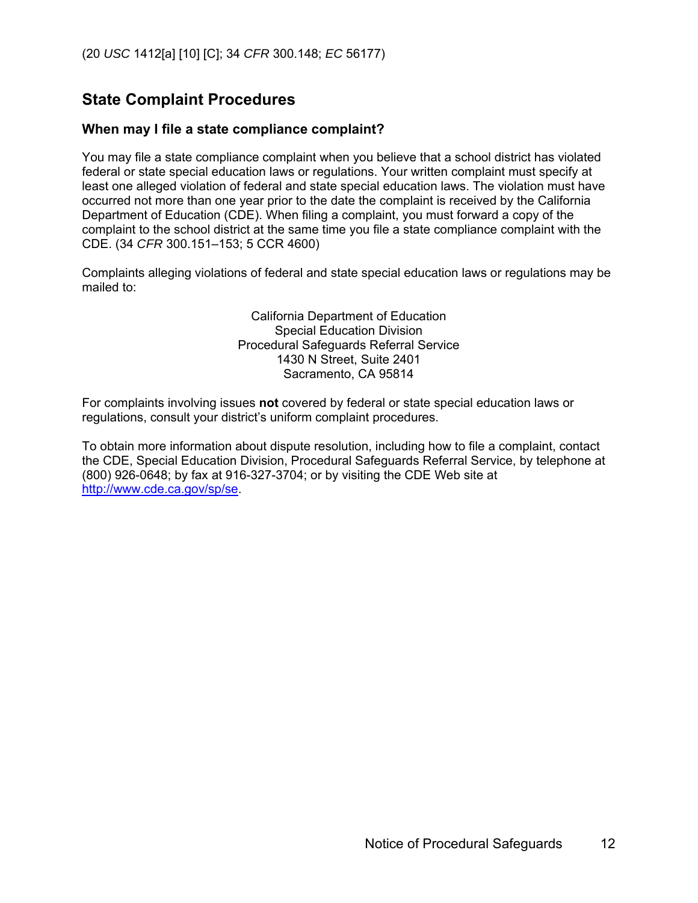# **State Complaint Procedures**

#### **When may I file a state compliance complaint?**

You may file a state compliance complaint when you believe that a school district has violated federal or state special education laws or regulations. Your written complaint must specify at least one alleged violation of federal and state special education laws. The violation must have occurred not more than one year prior to the date the complaint is received by the California Department of Education (CDE). When filing a complaint, you must forward a copy of the complaint to the school district at the same time you file a state compliance complaint with the CDE. (34 *CFR* 300.151–153; 5 CCR 4600)

Complaints alleging violations of federal and state special education laws or regulations may be mailed to:

> California Department of Education Special Education Division Procedural Safeguards Referral Service 1430 N Street, Suite 2401 Sacramento, CA 95814

For complaints involving issues **not** covered by federal or state special education laws or regulations, consult your district's uniform complaint procedures.

To obtain more information about dispute resolution, including how to file a complaint, contact the CDE, Special Education Division, Procedural Safeguards Referral Service, by telephone at (800) 926-0648; by fax at 916-327-3704; or by visiting the CDE Web site at http://www.cde.ca.gov/sp/se.